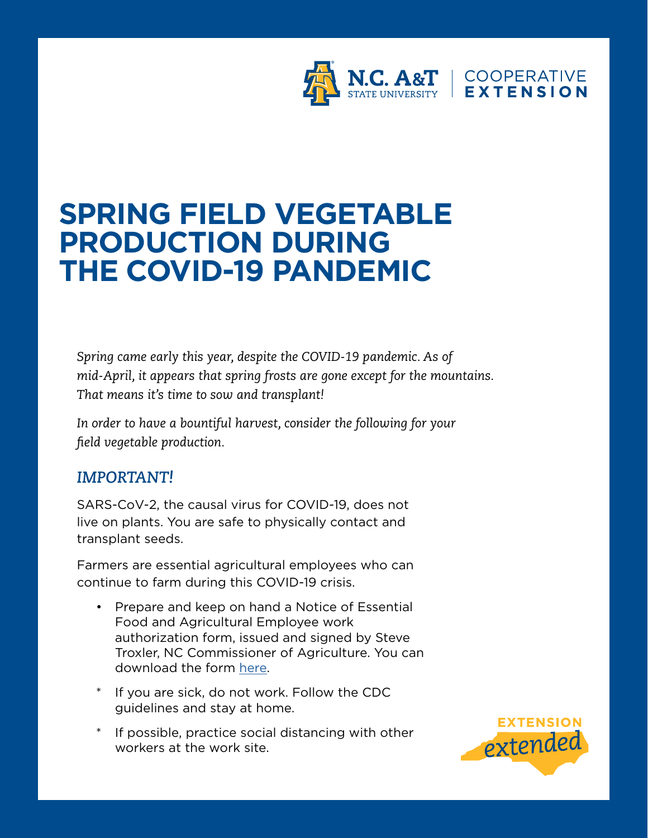

# **SPRING FIELD VEGETABLE PRODUCTION DURING THE COVID-19 PANDEMIC**

*Spring came early this year, despite the COVID-19 pandemic. As of mid-April, it appears that spring frosts are gone except for the mountains. That means it's time to sow and transplant!* 

*In order to have a bountiful harvest, consider the following for your field vegetable production.*

#### *IMPORTANT!*

SARS-CoV-2, the causal virus for COVID-19, does not live on plants. You are safe to physically contact and transplant seeds.

Farmers are essential agricultural employees who can continue to farm during this COVID-19 crisis.

- Prepare and keep on hand a Notice of Essential Food and Agricultural Employee work authorization form, issued and signed by Steve Troxler, NC Commissioner of Agriculture. You can download the form [here](https://www.ncagr.gov/disaster/documents/documents/SIGNEDWORKAUTHORIZATIONAGGROUPPERSONNELMarch26.pdf).
- \* If you are sick, do not work. Follow the CDC guidelines and stay at home.
- \* If possible, practice social distancing with other workers at the work site.

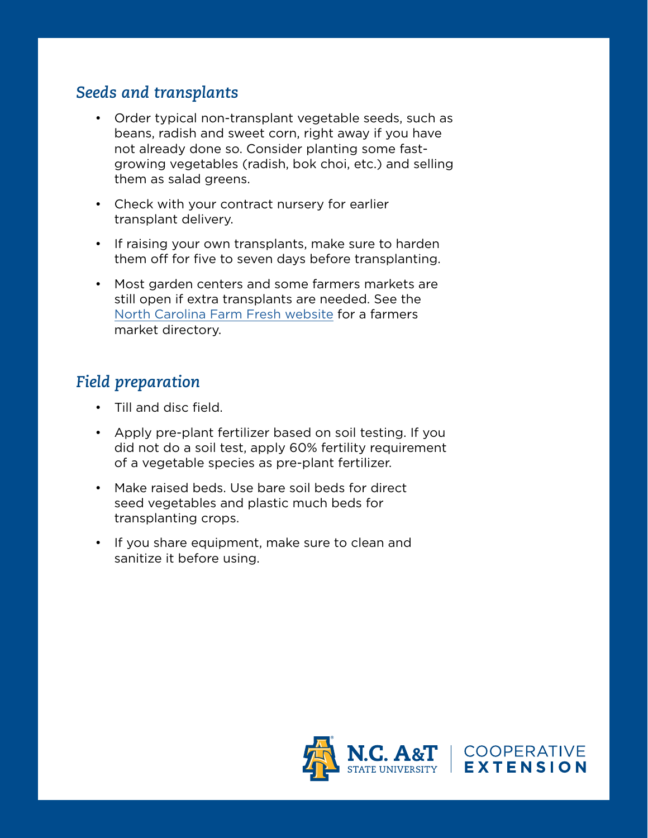## *Seeds and transplants*

- Order typical non-transplant vegetable seeds, such as beans, radish and sweet corn, right away if you have not already done so. Consider planting some fastgrowing vegetables (radish, bok choi, etc.) and selling them as salad greens.
- Check with your contract nursery for earlier transplant delivery.
- If raising your own transplants, make sure to harden them off for five to seven days before transplanting.
- Most garden centers and some farmers markets are still open if extra transplants are needed. See the [North Carolina Farm Fresh website](https://www.ncfarmfresh.com/farmmarkets.asp) for a farmers market directory.

## *Field preparation*

- Till and disc field.
- Apply pre-plant fertilizer based on soil testing. If you did not do a soil test, apply 60% fertility requirement of a vegetable species as pre-plant fertilizer.
- Make raised beds. Use bare soil beds for direct seed vegetables and plastic much beds for transplanting crops.
- If you share equipment, make sure to clean and sanitize it before using.

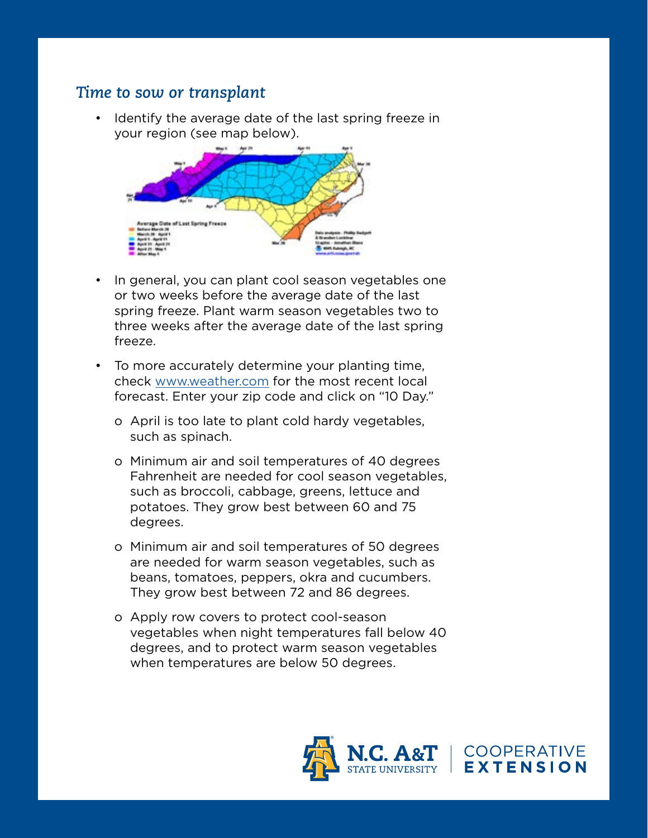#### *Time to sow or transplant*

• Identify the average date of the last spring freeze in your region (see map below).



- In general, you can plant cool season vegetables one or two weeks before the average date of the last spring freeze. Plant warm season vegetables two to three weeks after the average date of the last spring freeze.
- To more accurately determine your planting time, check [www.weather.com](http://www.weather.com) for the most recent local forecast. Enter your zip code and click on "10 Day."
	- o April is too late to plant cold hardy vegetables, such as spinach.
	- o Minimum air and soil temperatures of 40 degrees Fahrenheit are needed for cool season vegetables, such as broccoli, cabbage, greens, lettuce and potatoes. They grow best between 60 and 75 degrees.
	- o Minimum air and soil temperatures of 50 degrees are needed for warm season vegetables, such as beans, tomatoes, peppers, okra and cucumbers. They grow best between 72 and 86 degrees.
	- o Apply row covers to protect cool-season vegetables when night temperatures fall below 40 degrees, and to protect warm season vegetables when temperatures are below 50 degrees.

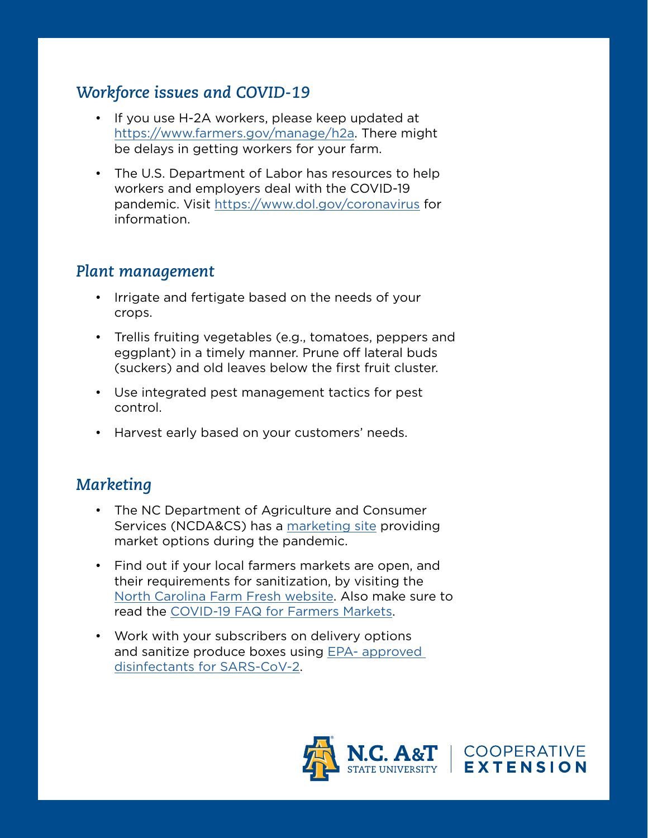## *Workforce issues and COVID-19*

- If you use H-2A workers, please keep updated at <https://www.farmers.gov/manage/h2a>. There might be delays in getting workers for your farm.
- The U.S. Department of Labor has resources to help workers and employers deal with the COVID-19 pandemic. Visit <https://www.dol.gov/coronavirus>for information.

### *Plant management*

- Irrigate and fertigate based on the needs of your crops.
- Trellis fruiting vegetables (e.g., tomatoes, peppers and eggplant) in a timely manner. Prune off lateral buds (suckers) and old leaves below the first fruit cluster.
- Use integrated pest management tactics for pest control.
- Harvest early based on your customers' needs.

## *Marketing*

- The NC Department of Agriculture and Consumer Services (NCDA&CS) has a [marketing site](http://ncagr.gov/markets/facilities/index.htm) providing market options during the pandemic.
- Find out if your local farmers markets are open, and their requirements for sanitization, by visiting the [North Carolina Farm Fresh website](https://www.ncfarmfresh.com/farmmarkets.asp). Also make sure to read the [COVID-19 FAQ for Farmers Markets.](https://foodsafety.ces.ncsu.edu/wp-content/uploads/2020/03/Farmers-Market_COVID-19_031320.pdf)
- Work with your subscribers on delivery options and sanitize produce boxes using [EPA- approved](https://www.epa.gov/pesticide-registration/list-n-disinfectants-use-against-sars-cov-2)  [disinfectants for SARS-CoV-2](https://www.epa.gov/pesticide-registration/list-n-disinfectants-use-against-sars-cov-2).